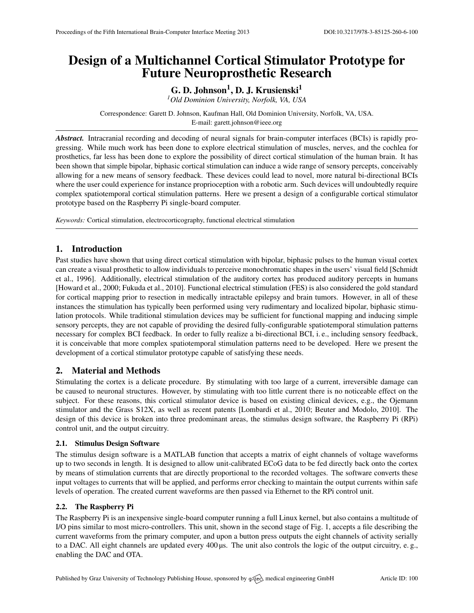# Design of a Multichannel Cortical Stimulator Prototype for Future Neuroprosthetic Research

G. D. Johnson<sup>1</sup>, D. J. Krusienski<sup>1</sup>

*<sup>1</sup>Old Dominion University, Norfolk, VA, USA*

Correspondence: Garett D. Johnson, Kaufman Hall, Old Dominion University, Norfolk, VA, USA. E-mail: [garett.johnson@ieee.org](mailto:garett.johnson@ieee.org)

*Abstract.* Intracranial recording and decoding of neural signals for brain-computer interfaces (BCIs) is rapidly progressing. While much work has been done to explore electrical stimulation of muscles, nerves, and the cochlea for prosthetics, far less has been done to explore the possibility of direct cortical stimulation of the human brain. It has been shown that simple bipolar, biphasic cortical stimulation can induce a wide range of sensory percepts, conceivably allowing for a new means of sensory feedback. These devices could lead to novel, more natural bi-directional BCIs where the user could experience for instance proprioception with a robotic arm. Such devices will undoubtedly require complex spatiotemporal cortical stimulation patterns. Here we present a design of a configurable cortical stimulator prototype based on the Raspberry Pi single-board computer.

*Keywords:* Cortical stimulation, electrocorticography, functional electrical stimulation

# 1. Introduction

Past studies have shown that using direct cortical stimulation with bipolar, biphasic pulses to the human visual cortex can create a visual prosthetic to allow individuals to perceive monochromatic shapes in the users' visual field [\[Schmidt](#page-1-0) [et al.,](#page-1-0) [1996\]](#page-1-0). Additionally, electrical stimulation of the auditory cortex has produced auditory percepts in humans [\[Howard et al.,](#page-1-1) [2000;](#page-1-1) [Fukuda et al.,](#page-1-2) [2010\]](#page-1-2). Functional electrical stimulation (FES) is also considered the gold standard for cortical mapping prior to resection in medically intractable epilepsy and brain tumors. However, in all of these instances the stimulation has typically been performed using very rudimentary and localized bipolar, biphasic stimulation protocols. While traditional stimulation devices may be sufficient for functional mapping and inducing simple sensory percepts, they are not capable of providing the desired fully-configurable spatiotemporal stimulation patterns necessary for complex BCI feedback. In order to fully realize a bi-directional BCI, i. e., including sensory feedback, it is conceivable that more complex spatiotemporal stimulation patterns need to be developed. Here we present the development of a cortical stimulator prototype capable of satisfying these needs.

## 2. Material and Methods

Stimulating the cortex is a delicate procedure. By stimulating with too large of a current, irreversible damage can be caused to neuronal structures. However, by stimulating with too little current there is no noticeable effect on the subject. For these reasons, this cortical stimulator device is based on existing clinical devices, e.g., the Ojemann stimulator and the Grass S12X, as well as recent patents [\[Lombardi et al.,](#page-1-3) [2010;](#page-1-3) [Beuter and Modolo,](#page-1-4) [2010\]](#page-1-4). The design of this device is broken into three predominant areas, the stimulus design software, the Raspberry Pi (RPi) control unit, and the output circuitry.

#### 2.1. Stimulus Design Software

The stimulus design software is a MATLAB function that accepts a matrix of eight channels of voltage waveforms up to two seconds in length. It is designed to allow unit-calibrated ECoG data to be fed directly back onto the cortex by means of stimulation currents that are directly proportional to the recorded voltages. The software converts these input voltages to currents that will be applied, and performs error checking to maintain the output currents within safe levels of operation. The created current waveforms are then passed via Ethernet to the RPi control unit.

### 2.2. The Raspberry Pi

The Raspberry Pi is an inexpensive single-board computer running a full Linux kernel, but also contains a multitude of I/O pins similar to most micro-controllers. This unit, shown in the second stage of Fig. 1, accepts a file describing the current waveforms from the primary computer, and upon a button press outputs the eight channels of activity serially to a DAC. All eight channels are updated every 400 µs. The unit also controls the logic of the output circuitry, e. g., enabling the DAC and OTA.